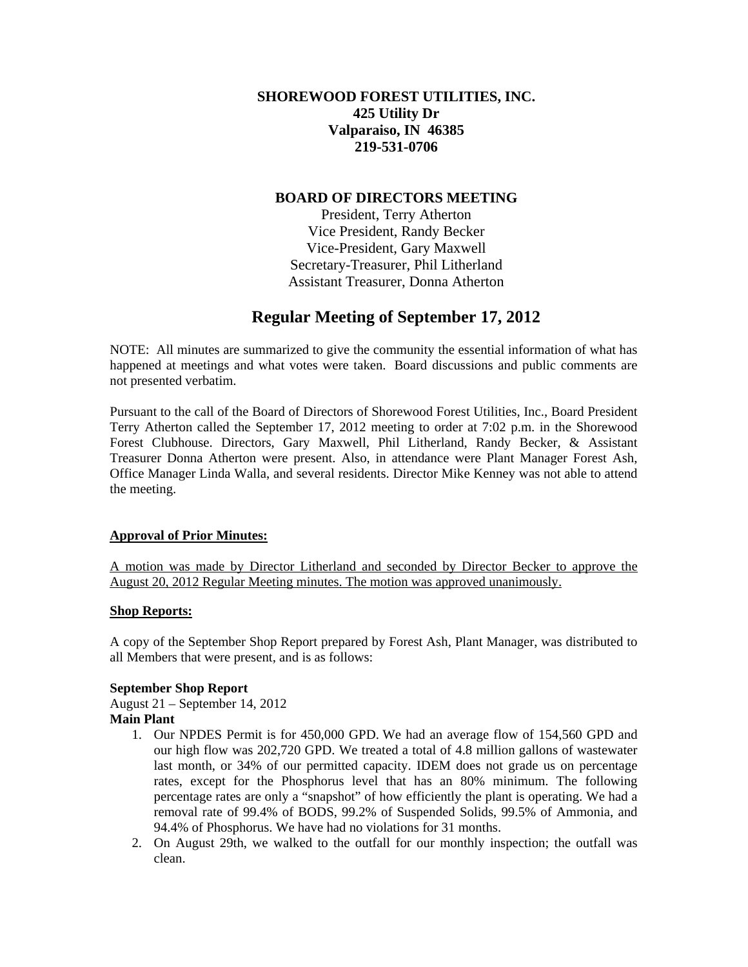# **SHOREWOOD FOREST UTILITIES, INC. 425 Utility Dr Valparaiso, IN 46385 219-531-0706**

# **BOARD OF DIRECTORS MEETING**

President, Terry Atherton Vice President, Randy Becker Vice-President, Gary Maxwell Secretary-Treasurer, Phil Litherland Assistant Treasurer, Donna Atherton

# **Regular Meeting of September 17, 2012**

NOTE: All minutes are summarized to give the community the essential information of what has happened at meetings and what votes were taken. Board discussions and public comments are not presented verbatim.

Pursuant to the call of the Board of Directors of Shorewood Forest Utilities, Inc., Board President Terry Atherton called the September 17, 2012 meeting to order at 7:02 p.m. in the Shorewood Forest Clubhouse. Directors, Gary Maxwell, Phil Litherland, Randy Becker, & Assistant Treasurer Donna Atherton were present. Also, in attendance were Plant Manager Forest Ash, Office Manager Linda Walla, and several residents. Director Mike Kenney was not able to attend the meeting.

### **Approval of Prior Minutes:**

A motion was made by Director Litherland and seconded by Director Becker to approve the August 20, 2012 Regular Meeting minutes. The motion was approved unanimously.

# **Shop Reports:**

A copy of the September Shop Report prepared by Forest Ash, Plant Manager, was distributed to all Members that were present, and is as follows:

### **September Shop Report**

August 21 – September 14, 2012 **Main Plant** 

- 1. Our NPDES Permit is for 450,000 GPD. We had an average flow of 154,560 GPD and our high flow was 202,720 GPD. We treated a total of 4.8 million gallons of wastewater last month, or 34% of our permitted capacity. IDEM does not grade us on percentage rates, except for the Phosphorus level that has an 80% minimum. The following percentage rates are only a "snapshot" of how efficiently the plant is operating. We had a removal rate of 99.4% of BODS, 99.2% of Suspended Solids, 99.5% of Ammonia, and 94.4% of Phosphorus. We have had no violations for 31 months.
- 2. On August 29th, we walked to the outfall for our monthly inspection; the outfall was clean.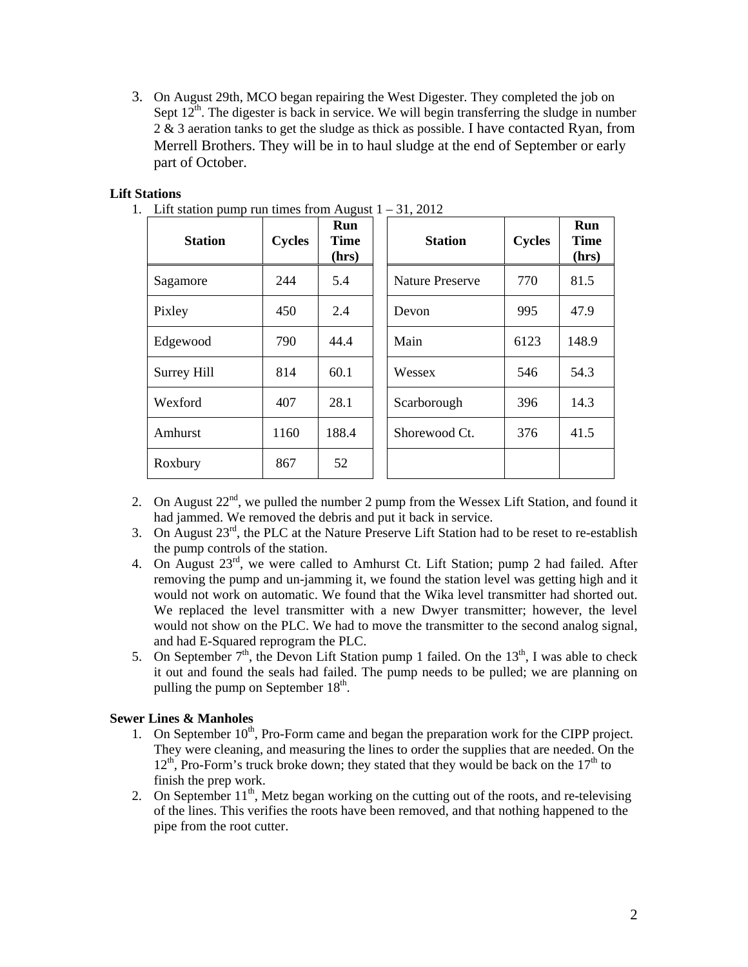3. On August 29th, MCO began repairing the West Digester. They completed the job on Sept  $12<sup>th</sup>$ . The digester is back in service. We will begin transferring the sludge in number 2 & 3 aeration tanks to get the sludge as thick as possible. I have contacted Ryan, from Merrell Brothers. They will be in to haul sludge at the end of September or early part of October.

# **Lift Stations**

| <b>Station</b> | <b>Cycles</b> | Run<br><b>Time</b><br>(hrs) |  | <b>Station</b>         | <b>Cycles</b> | Run<br>Time<br>(hrs) |
|----------------|---------------|-----------------------------|--|------------------------|---------------|----------------------|
| Sagamore       | 244           | 5.4                         |  | <b>Nature Preserve</b> | 770           | 81.5                 |
| Pixley         | 450           | 2.4                         |  | Devon                  | 995           | 47.9                 |
| Edgewood       | 790           | 44.4                        |  | Main                   | 6123          | 148.9                |
| Surrey Hill    | 814           | 60.1                        |  | Wessex                 | 546           | 54.3                 |
| Wexford        | 407           | 28.1                        |  | Scarborough            | 396           | 14.3                 |
| Amhurst        | 1160          | 188.4                       |  | Shorewood Ct.          | 376           | 41.5                 |
| Roxbury        | 867           | 52                          |  |                        |               |                      |

1. Lift station pump run times from August  $1 - 31, 2012$ 

- 2. On August  $22^{nd}$ , we pulled the number 2 pump from the Wessex Lift Station, and found it had jammed. We removed the debris and put it back in service.
- 3. On August  $23<sup>rd</sup>$ , the PLC at the Nature Preserve Lift Station had to be reset to re-establish the pump controls of the station.
- 4. On August 23rd, we were called to Amhurst Ct. Lift Station; pump 2 had failed. After removing the pump and un-jamming it, we found the station level was getting high and it would not work on automatic. We found that the Wika level transmitter had shorted out. We replaced the level transmitter with a new Dwyer transmitter; however, the level would not show on the PLC. We had to move the transmitter to the second analog signal, and had E-Squared reprogram the PLC.
- 5. On September  $7<sup>th</sup>$ , the Devon Lift Station pump 1 failed. On the 13<sup>th</sup>, I was able to check it out and found the seals had failed. The pump needs to be pulled; we are planning on pulling the pump on September  $18<sup>th</sup>$ .

#### **Sewer Lines & Manholes**

- 1. On September  $10<sup>th</sup>$ , Pro-Form came and began the preparation work for the CIPP project. They were cleaning, and measuring the lines to order the supplies that are needed. On the  $12<sup>th</sup>$ , Pro-Form's truck broke down; they stated that they would be back on the  $17<sup>th</sup>$  to finish the prep work.
- 2. On September  $11<sup>th</sup>$ , Metz began working on the cutting out of the roots, and re-televising of the lines. This verifies the roots have been removed, and that nothing happened to the pipe from the root cutter.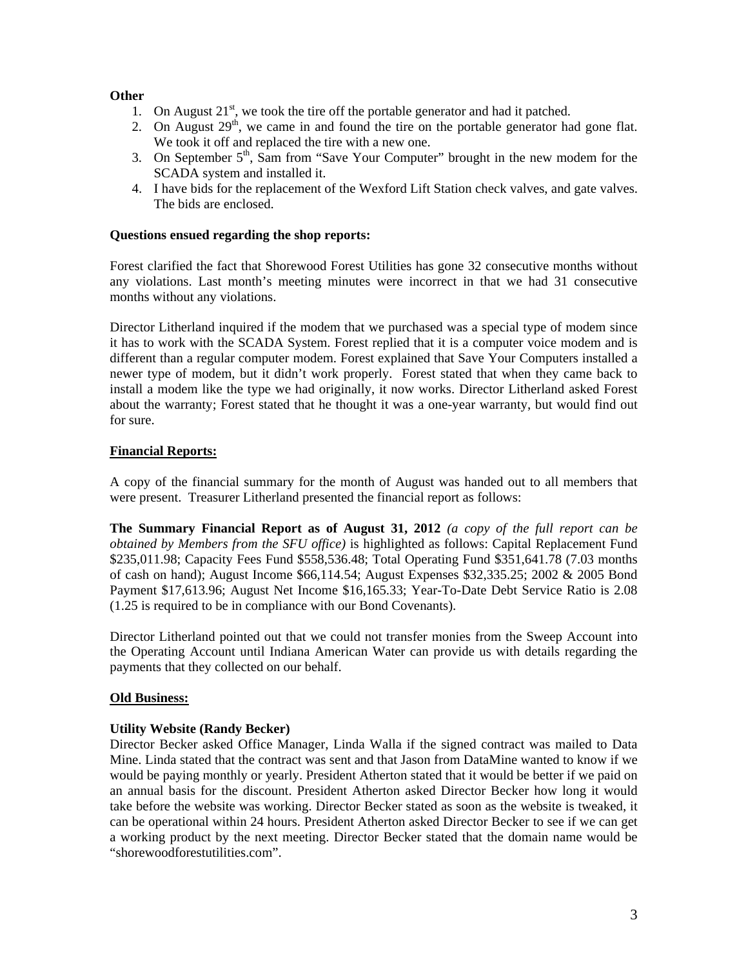# **Other**

- 1. On August  $21^{st}$ , we took the tire off the portable generator and had it patched.
- 2. On August  $29<sup>th</sup>$ , we came in and found the tire on the portable generator had gone flat. We took it off and replaced the tire with a new one.
- 3. On September  $5<sup>th</sup>$ , Sam from "Save Your Computer" brought in the new modem for the SCADA system and installed it.
- 4. I have bids for the replacement of the Wexford Lift Station check valves, and gate valves. The bids are enclosed.

### **Questions ensued regarding the shop reports:**

Forest clarified the fact that Shorewood Forest Utilities has gone 32 consecutive months without any violations. Last month's meeting minutes were incorrect in that we had 31 consecutive months without any violations.

Director Litherland inquired if the modem that we purchased was a special type of modem since it has to work with the SCADA System. Forest replied that it is a computer voice modem and is different than a regular computer modem. Forest explained that Save Your Computers installed a newer type of modem, but it didn't work properly. Forest stated that when they came back to install a modem like the type we had originally, it now works. Director Litherland asked Forest about the warranty; Forest stated that he thought it was a one-year warranty, but would find out for sure.

# **Financial Reports:**

A copy of the financial summary for the month of August was handed out to all members that were present. Treasurer Litherland presented the financial report as follows:

**The Summary Financial Report as of August 31, 2012** *(a copy of the full report can be obtained by Members from the SFU office)* is highlighted as follows: Capital Replacement Fund \$235,011.98; Capacity Fees Fund \$558,536.48; Total Operating Fund \$351,641.78 (7.03 months of cash on hand); August Income \$66,114.54; August Expenses \$32,335.25; 2002 & 2005 Bond Payment \$17,613.96; August Net Income \$16,165.33; Year-To-Date Debt Service Ratio is 2.08 (1.25 is required to be in compliance with our Bond Covenants).

Director Litherland pointed out that we could not transfer monies from the Sweep Account into the Operating Account until Indiana American Water can provide us with details regarding the payments that they collected on our behalf.

### **Old Business:**

### **Utility Website (Randy Becker)**

Director Becker asked Office Manager, Linda Walla if the signed contract was mailed to Data Mine. Linda stated that the contract was sent and that Jason from DataMine wanted to know if we would be paying monthly or yearly. President Atherton stated that it would be better if we paid on an annual basis for the discount. President Atherton asked Director Becker how long it would take before the website was working. Director Becker stated as soon as the website is tweaked, it can be operational within 24 hours. President Atherton asked Director Becker to see if we can get a working product by the next meeting. Director Becker stated that the domain name would be "shorewoodforestutilities.com".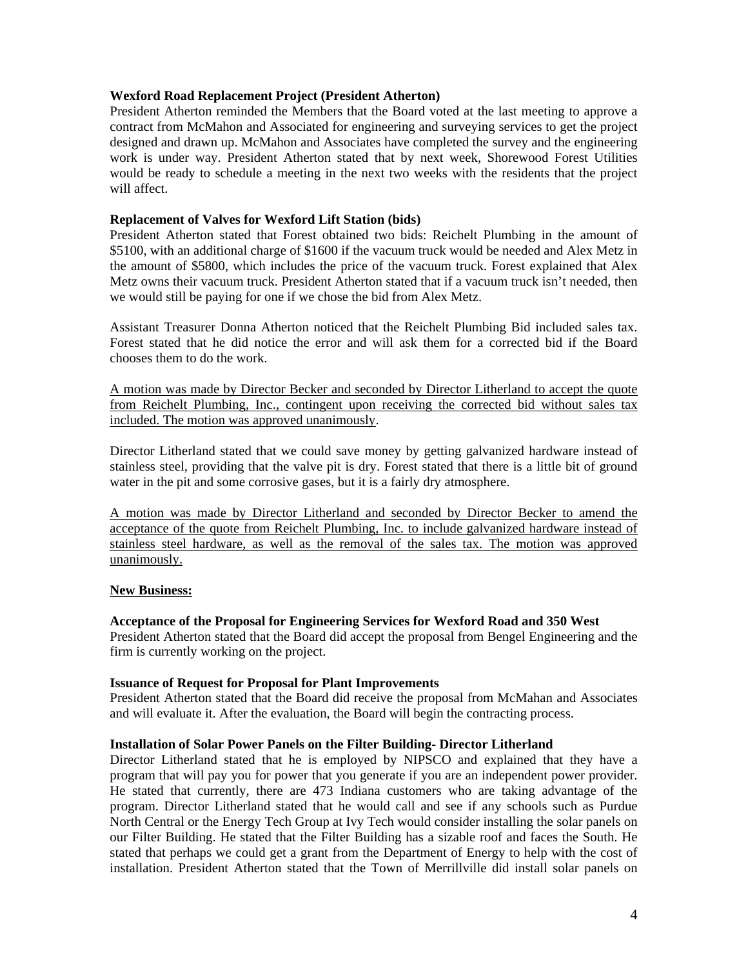#### **Wexford Road Replacement Project (President Atherton)**

President Atherton reminded the Members that the Board voted at the last meeting to approve a contract from McMahon and Associated for engineering and surveying services to get the project designed and drawn up. McMahon and Associates have completed the survey and the engineering work is under way. President Atherton stated that by next week, Shorewood Forest Utilities would be ready to schedule a meeting in the next two weeks with the residents that the project will affect.

#### **Replacement of Valves for Wexford Lift Station (bids)**

President Atherton stated that Forest obtained two bids: Reichelt Plumbing in the amount of \$5100, with an additional charge of \$1600 if the vacuum truck would be needed and Alex Metz in the amount of \$5800, which includes the price of the vacuum truck. Forest explained that Alex Metz owns their vacuum truck. President Atherton stated that if a vacuum truck isn't needed, then we would still be paying for one if we chose the bid from Alex Metz.

Assistant Treasurer Donna Atherton noticed that the Reichelt Plumbing Bid included sales tax. Forest stated that he did notice the error and will ask them for a corrected bid if the Board chooses them to do the work.

A motion was made by Director Becker and seconded by Director Litherland to accept the quote from Reichelt Plumbing, Inc., contingent upon receiving the corrected bid without sales tax included. The motion was approved unanimously.

Director Litherland stated that we could save money by getting galvanized hardware instead of stainless steel, providing that the valve pit is dry. Forest stated that there is a little bit of ground water in the pit and some corrosive gases, but it is a fairly dry atmosphere.

A motion was made by Director Litherland and seconded by Director Becker to amend the acceptance of the quote from Reichelt Plumbing, Inc. to include galvanized hardware instead of stainless steel hardware, as well as the removal of the sales tax. The motion was approved unanimously.

#### **New Business:**

### **Acceptance of the Proposal for Engineering Services for Wexford Road and 350 West**

President Atherton stated that the Board did accept the proposal from Bengel Engineering and the firm is currently working on the project.

#### **Issuance of Request for Proposal for Plant Improvements**

President Atherton stated that the Board did receive the proposal from McMahan and Associates and will evaluate it. After the evaluation, the Board will begin the contracting process.

#### **Installation of Solar Power Panels on the Filter Building- Director Litherland**

Director Litherland stated that he is employed by NIPSCO and explained that they have a program that will pay you for power that you generate if you are an independent power provider. He stated that currently, there are 473 Indiana customers who are taking advantage of the program. Director Litherland stated that he would call and see if any schools such as Purdue North Central or the Energy Tech Group at Ivy Tech would consider installing the solar panels on our Filter Building. He stated that the Filter Building has a sizable roof and faces the South. He stated that perhaps we could get a grant from the Department of Energy to help with the cost of installation. President Atherton stated that the Town of Merrillville did install solar panels on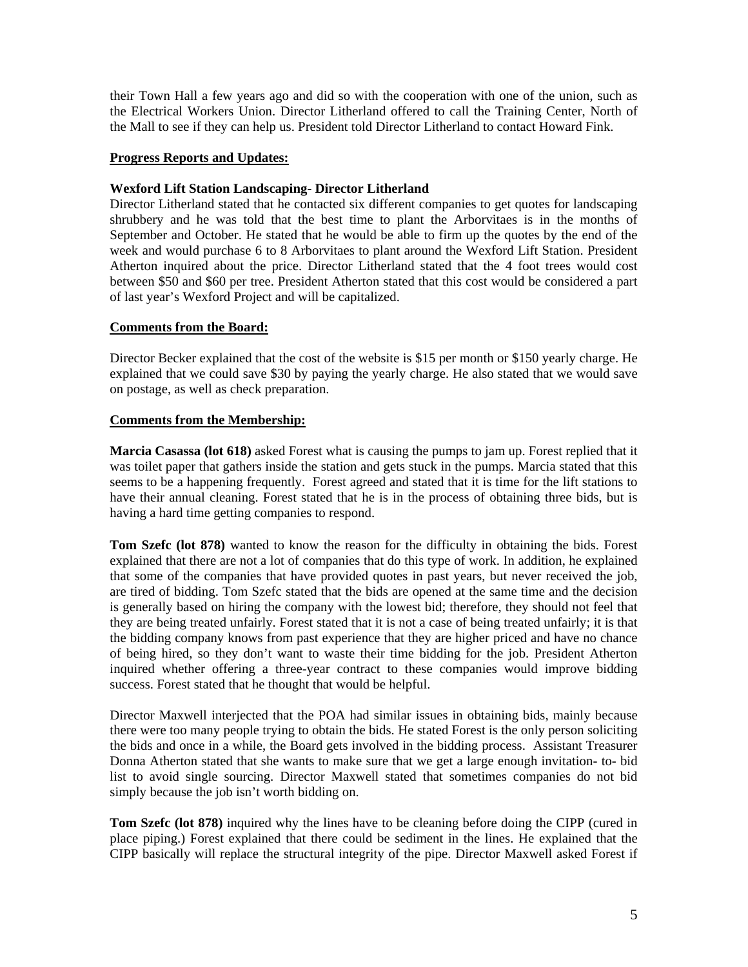their Town Hall a few years ago and did so with the cooperation with one of the union, such as the Electrical Workers Union. Director Litherland offered to call the Training Center, North of the Mall to see if they can help us. President told Director Litherland to contact Howard Fink.

### **Progress Reports and Updates:**

# **Wexford Lift Station Landscaping- Director Litherland**

Director Litherland stated that he contacted six different companies to get quotes for landscaping shrubbery and he was told that the best time to plant the Arborvitaes is in the months of September and October. He stated that he would be able to firm up the quotes by the end of the week and would purchase 6 to 8 Arborvitaes to plant around the Wexford Lift Station. President Atherton inquired about the price. Director Litherland stated that the 4 foot trees would cost between \$50 and \$60 per tree. President Atherton stated that this cost would be considered a part of last year's Wexford Project and will be capitalized.

# **Comments from the Board:**

Director Becker explained that the cost of the website is \$15 per month or \$150 yearly charge. He explained that we could save \$30 by paying the yearly charge. He also stated that we would save on postage, as well as check preparation.

# **Comments from the Membership:**

**Marcia Casassa (lot 618)** asked Forest what is causing the pumps to jam up. Forest replied that it was toilet paper that gathers inside the station and gets stuck in the pumps. Marcia stated that this seems to be a happening frequently. Forest agreed and stated that it is time for the lift stations to have their annual cleaning. Forest stated that he is in the process of obtaining three bids, but is having a hard time getting companies to respond.

**Tom Szefc (lot 878)** wanted to know the reason for the difficulty in obtaining the bids. Forest explained that there are not a lot of companies that do this type of work. In addition, he explained that some of the companies that have provided quotes in past years, but never received the job, are tired of bidding. Tom Szefc stated that the bids are opened at the same time and the decision is generally based on hiring the company with the lowest bid; therefore, they should not feel that they are being treated unfairly. Forest stated that it is not a case of being treated unfairly; it is that the bidding company knows from past experience that they are higher priced and have no chance of being hired, so they don't want to waste their time bidding for the job. President Atherton inquired whether offering a three-year contract to these companies would improve bidding success. Forest stated that he thought that would be helpful.

Director Maxwell interjected that the POA had similar issues in obtaining bids, mainly because there were too many people trying to obtain the bids. He stated Forest is the only person soliciting the bids and once in a while, the Board gets involved in the bidding process. Assistant Treasurer Donna Atherton stated that she wants to make sure that we get a large enough invitation- to- bid list to avoid single sourcing. Director Maxwell stated that sometimes companies do not bid simply because the job isn't worth bidding on.

**Tom Szefc (lot 878)** inquired why the lines have to be cleaning before doing the CIPP (cured in place piping.) Forest explained that there could be sediment in the lines. He explained that the CIPP basically will replace the structural integrity of the pipe. Director Maxwell asked Forest if